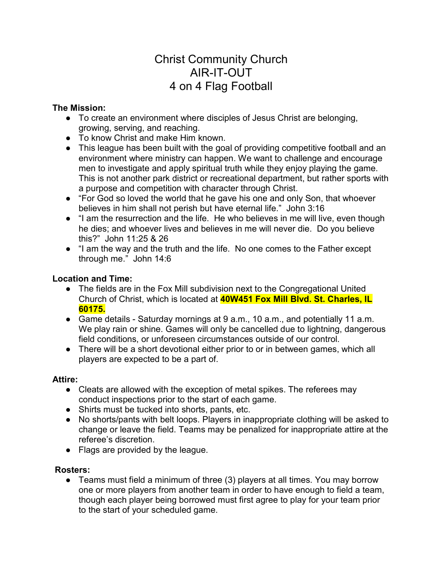# Christ Community Church AIR-IT-OUT 4 on 4 Flag Football

# The Mission:

- To create an environment where disciples of Jesus Christ are belonging, growing, serving, and reaching.
- To know Christ and make Him known.
- This league has been built with the goal of providing competitive football and an environment where ministry can happen. We want to challenge and encourage men to investigate and apply spiritual truth while they enjoy playing the game. This is not another park district or recreational department, but rather sports with a purpose and competition with character through Christ.
- "For God so loved the world that he gave his one and only Son, that whoever believes in him shall not perish but have eternal life." John 3:16
- "I am the resurrection and the life. He who believes in me will live, even though he dies; and whoever lives and believes in me will never die. Do you believe this?" John 11:25 & 26
- "I am the way and the truth and the life. No one comes to the Father except through me." John 14:6

# Location and Time:

- The fields are in the Fox Mill subdivision next to the Congregational United Church of Christ, which is located at **40W451 Fox Mill Blvd. St. Charles, IL** 60175.
- Game details Saturday mornings at 9 a.m., 10 a.m., and potentially 11 a.m. We play rain or shine. Games will only be cancelled due to lightning, dangerous field conditions, or unforeseen circumstances outside of our control.
- There will be a short devotional either prior to or in between games, which all players are expected to be a part of.

# Attire:

- Cleats are allowed with the exception of metal spikes. The referees may conduct inspections prior to the start of each game.
- Shirts must be tucked into shorts, pants, etc.
- No shorts/pants with belt loops. Players in inappropriate clothing will be asked to change or leave the field. Teams may be penalized for inappropriate attire at the referee's discretion.
- Flags are provided by the league.

# Rosters:

● Teams must field a minimum of three (3) players at all times. You may borrow one or more players from another team in order to have enough to field a team, though each player being borrowed must first agree to play for your team prior to the start of your scheduled game.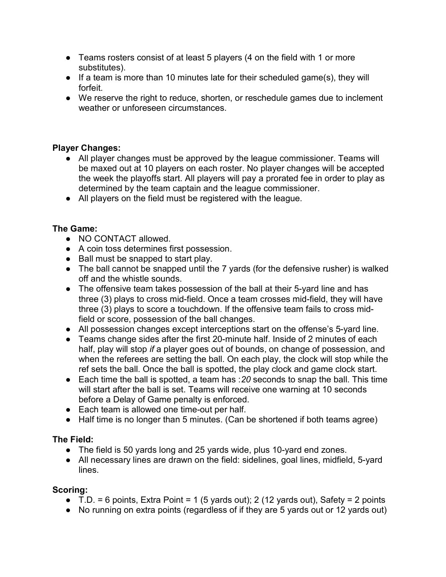- Teams rosters consist of at least 5 players (4 on the field with 1 or more substitutes).
- If a team is more than 10 minutes late for their scheduled game(s), they will forfeit.
- We reserve the right to reduce, shorten, or reschedule games due to inclement weather or unforeseen circumstances.

# Player Changes:

- All player changes must be approved by the league commissioner. Teams will be maxed out at 10 players on each roster. No player changes will be accepted the week the playoffs start. All players will pay a prorated fee in order to play as determined by the team captain and the league commissioner.
- All players on the field must be registered with the league.

# The Game:

- NO CONTACT allowed.
- A coin toss determines first possession.
- Ball must be snapped to start play.
- The ball cannot be snapped until the 7 yards (for the defensive rusher) is walked off and the whistle sounds.
- The offensive team takes possession of the ball at their 5-yard line and has three (3) plays to cross mid-field. Once a team crosses mid-field, they will have three (3) plays to score a touchdown. If the offensive team fails to cross midfield or score, possession of the ball changes.
- All possession changes except interceptions start on the offense's 5-yard line.
- Teams change sides after the first 20-minute half. Inside of 2 minutes of each half, play will stop if a player goes out of bounds, on change of possession, and when the referees are setting the ball. On each play, the clock will stop while the ref sets the ball. Once the ball is spotted, the play clock and game clock start.
- Each time the ball is spotted, a team has :  $20$  seconds to snap the ball. This time will start after the ball is set. Teams will receive one warning at 10 seconds before a Delay of Game penalty is enforced.
- Each team is allowed one time-out per half.
- Half time is no longer than 5 minutes. (Can be shortened if both teams agree)

# The Field:

- The field is 50 yards long and 25 yards wide, plus 10-yard end zones.
- All necessary lines are drawn on the field: sidelines, goal lines, midfield, 5-yard lines.

# Scoring:

- $\bullet$  T.D. = 6 points, Extra Point = 1 (5 yards out); 2 (12 yards out), Safety = 2 points
- No running on extra points (regardless of if they are 5 yards out or 12 yards out)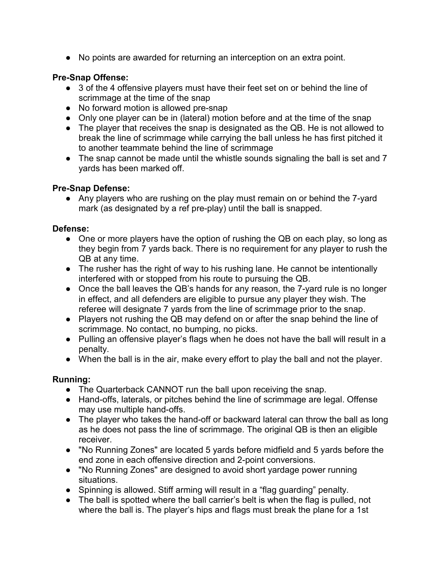● No points are awarded for returning an interception on an extra point.

# Pre-Snap Offense:

- 3 of the 4 offensive players must have their feet set on or behind the line of scrimmage at the time of the snap
- No forward motion is allowed pre-snap
- Only one player can be in (lateral) motion before and at the time of the snap
- The player that receives the snap is designated as the QB. He is not allowed to break the line of scrimmage while carrying the ball unless he has first pitched it to another teammate behind the line of scrimmage
- The snap cannot be made until the whistle sounds signaling the ball is set and 7 yards has been marked off.

# Pre-Snap Defense:

• Any players who are rushing on the play must remain on or behind the 7-yard mark (as designated by a ref pre-play) until the ball is snapped.

# Defense:

- One or more players have the option of rushing the QB on each play, so long as they begin from 7 yards back. There is no requirement for any player to rush the QB at any time.
- The rusher has the right of way to his rushing lane. He cannot be intentionally interfered with or stopped from his route to pursuing the QB.
- Once the ball leaves the QB's hands for any reason, the 7-yard rule is no longer in effect, and all defenders are eligible to pursue any player they wish. The referee will designate 7 yards from the line of scrimmage prior to the snap.
- Players not rushing the QB may defend on or after the snap behind the line of scrimmage. No contact, no bumping, no picks.
- Pulling an offensive player's flags when he does not have the ball will result in a penalty.
- When the ball is in the air, make every effort to play the ball and not the player.

# Running:

- The Quarterback CANNOT run the ball upon receiving the snap.
- Hand-offs, laterals, or pitches behind the line of scrimmage are legal. Offense may use multiple hand-offs.
- The player who takes the hand-off or backward lateral can throw the ball as long as he does not pass the line of scrimmage. The original QB is then an eligible receiver.
- "No Running Zones" are located 5 yards before midfield and 5 yards before the end zone in each offensive direction and 2-point conversions.
- "No Running Zones" are designed to avoid short yardage power running situations.
- Spinning is allowed. Stiff arming will result in a "flag guarding" penalty.
- The ball is spotted where the ball carrier's belt is when the flag is pulled, not where the ball is. The player's hips and flags must break the plane for a 1st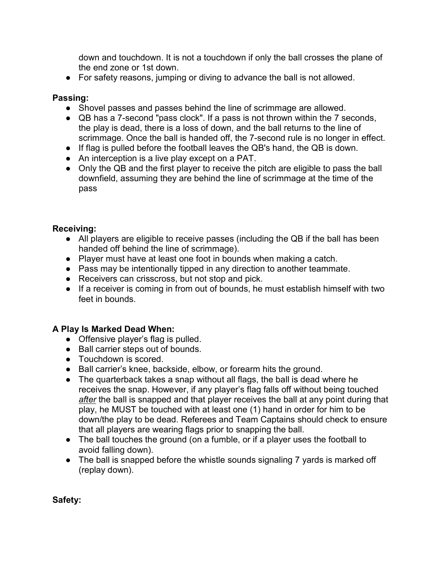down and touchdown. It is not a touchdown if only the ball crosses the plane of the end zone or 1st down.

● For safety reasons, jumping or diving to advance the ball is not allowed.

## Passing:

- Shovel passes and passes behind the line of scrimmage are allowed.
- QB has a 7-second "pass clock". If a pass is not thrown within the 7 seconds, the play is dead, there is a loss of down, and the ball returns to the line of scrimmage. Once the ball is handed off, the 7-second rule is no longer in effect.
- If flag is pulled before the football leaves the QB's hand, the QB is down.
- An interception is a live play except on a PAT.
- Only the QB and the first player to receive the pitch are eligible to pass the ball downfield, assuming they are behind the line of scrimmage at the time of the pass

### Receiving:

- All players are eligible to receive passes (including the QB if the ball has been handed off behind the line of scrimmage).
- Player must have at least one foot in bounds when making a catch.
- Pass may be intentionally tipped in any direction to another teammate.
- Receivers can crisscross, but not stop and pick.
- If a receiver is coming in from out of bounds, he must establish himself with two feet in bounds.

### A Play Is Marked Dead When:

- Offensive player's flag is pulled.
- Ball carrier steps out of bounds.
- Touchdown is scored.
- Ball carrier's knee, backside, elbow, or forearm hits the ground.
- The quarterback takes a snap without all flags, the ball is dead where he receives the snap. However, if any player's flag falls off without being touched after the ball is snapped and that player receives the ball at any point during that play, he MUST be touched with at least one (1) hand in order for him to be down/the play to be dead. Referees and Team Captains should check to ensure that all players are wearing flags prior to snapping the ball.
- The ball touches the ground (on a fumble, or if a player uses the football to avoid falling down).
- The ball is snapped before the whistle sounds signaling 7 yards is marked off (replay down).

### Safety: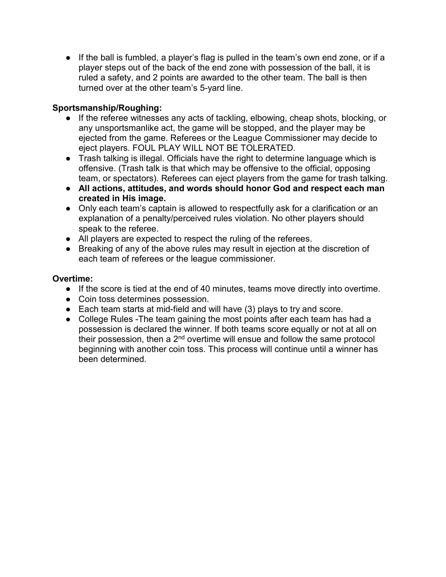● If the ball is fumbled, a player's flag is pulled in the team's own end zone, or if a player steps out of the back of the end zone with possession of the ball, it is ruled a safety, and 2 points are awarded to the other team. The ball is then turned over at the other team's 5-yard line.

# Sportsmanship/Roughing:

- If the referee witnesses any acts of tackling, elbowing, cheap shots, blocking, or any unsportsmanlike act, the game will be stopped, and the player may be ejected from the game. Referees or the League Commissioner may decide to eject players. FOUL PLAY WILL NOT BE TOLERATED.
- Trash talking is illegal. Officials have the right to determine language which is offensive. (Trash talk is that which may be offensive to the official, opposing team, or spectators). Referees can eject players from the game for trash talking.
- All actions, attitudes, and words should honor God and respect each man created in His image.
- Only each team's captain is allowed to respectfully ask for a clarification or an explanation of a penalty/perceived rules violation. No other players should speak to the referee.
- All players are expected to respect the ruling of the referees.
- Breaking of any of the above rules may result in ejection at the discretion of each team of referees or the league commissioner.

# Overtime:

- If the score is tied at the end of 40 minutes, teams move directly into overtime.
- Coin toss determines possession.
- Each team starts at mid-field and will have (3) plays to try and score.
- College Rules The team gaining the most points after each team has had a possession is declared the winner. If both teams score equally or not at all on their possession, then a  $2<sup>nd</sup>$  overtime will ensue and follow the same protocol beginning with another coin toss. This process will continue until a winner has been determined.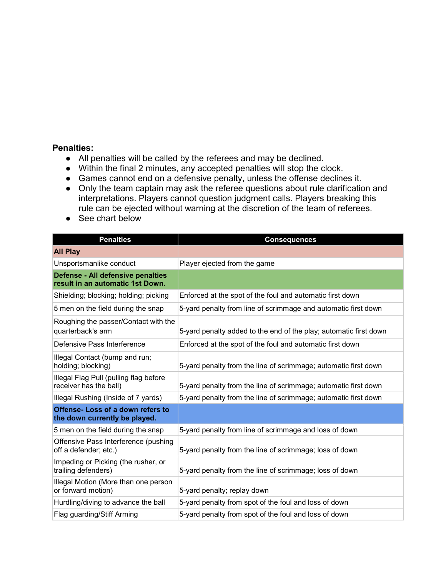## Penalties:

- All penalties will be called by the referees and may be declined.
- Within the final 2 minutes, any accepted penalties will stop the clock.
- Games cannot end on a defensive penalty, unless the offense declines it.
- Only the team captain may ask the referee questions about rule clarification and interpretations. Players cannot question judgment calls. Players breaking this rule can be ejected without warning at the discretion of the team of referees.
- See chart below

| <b>Penalties</b>                                                      | <b>Consequences</b>                                               |
|-----------------------------------------------------------------------|-------------------------------------------------------------------|
| <b>All Play</b>                                                       |                                                                   |
| Unsportsmanlike conduct                                               | Player ejected from the game                                      |
| Defense - All defensive penalties<br>result in an automatic 1st Down. |                                                                   |
| Shielding; blocking; holding; picking                                 | Enforced at the spot of the foul and automatic first down         |
| 5 men on the field during the snap                                    | 5-yard penalty from line of scrimmage and automatic first down    |
| Roughing the passer/Contact with the<br>quarterback's arm             | 5-yard penalty added to the end of the play; automatic first down |
| Defensive Pass Interference                                           | Enforced at the spot of the foul and automatic first down         |
| Illegal Contact (bump and run;<br>holding; blocking)                  | 5-yard penalty from the line of scrimmage; automatic first down   |
| Illegal Flag Pull (pulling flag before<br>receiver has the ball)      | 5-yard penalty from the line of scrimmage; automatic first down   |
| Illegal Rushing (Inside of 7 yards)                                   | 5-yard penalty from the line of scrimmage; automatic first down   |
| Offense- Loss of a down refers to<br>the down currently be played.    |                                                                   |
| 5 men on the field during the snap                                    | 5-yard penalty from line of scrimmage and loss of down            |
| Offensive Pass Interference (pushing<br>off a defender; etc.)         | 5-yard penalty from the line of scrimmage; loss of down           |
| Impeding or Picking (the rusher, or<br>trailing defenders)            | 5-yard penalty from the line of scrimmage; loss of down           |
| Illegal Motion (More than one person<br>or forward motion)            | 5-yard penalty; replay down                                       |
| Hurdling/diving to advance the ball                                   | 5-yard penalty from spot of the foul and loss of down             |
| Flag guarding/Stiff Arming                                            | 5-yard penalty from spot of the foul and loss of down             |